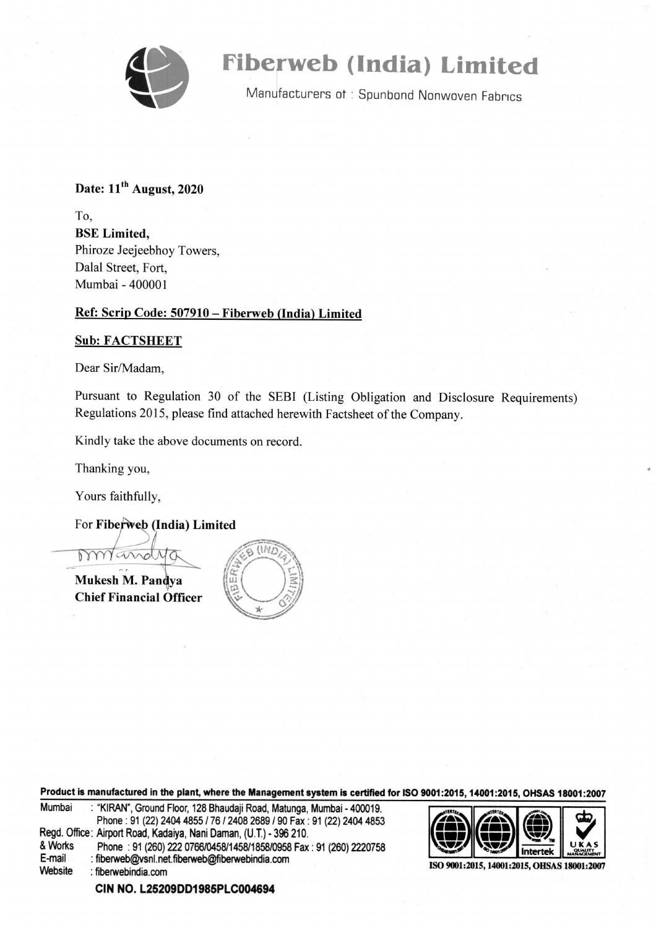

# Fiberweb (India) Limited

wa Manufacturers ot : Spunbond Nonwoven Fabrics

### Date:  $11<sup>th</sup>$  August, 2020

To, BSE Limited, Phiroze Jeejeebhoy Towers, Dalal Street, Fort, Mumbai - 400001

### Ref: Scrip Code: 507910 — Fiberweb (India) Limited

### Sub: FACTSHEET

Dear Sir/Madam,

Pursuant to Regulation 30 of the SEBI (Listing Obligation and Disclosure Requirements) Regulations 2015, please find attached herewith Factsheet of the Company.

Kindly take the above documents on record.

Thanking you,

Yours faithfully,

For Fiberweb (India) Limited

Mukesh M. Pandya Chief Financial Officer



Product is manufactured in the plant, where the Management system is certified for ISO 9001:2015, 14001:2015, OHSAS 18001:2007  $\frac{1}{2012015,14001:2015}$ 

| Mumbai  | : "KIRAN", Ground Floor, 128 Bhaudaji Road, Matunga, Mumbai - 400019. |                                            |  |  |
|---------|-----------------------------------------------------------------------|--------------------------------------------|--|--|
|         | Phone: 91 (22) 2404 4855 / 76 / 2408 2689 / 90 Fax: 91 (22) 2404 4853 | OCIO C                                     |  |  |
|         | Regd. Office: Airport Road, Kadaiya, Nani Daman, (U.T.) - 396 210.    |                                            |  |  |
| & Works | Phone: 91 (260) 222 0766/0458/1458/1858/0958 Fax: 91 (260) 2220758    |                                            |  |  |
| E-mail  | : fiberweb@vsnl.net.fiberweb@fiberwebindia.com                        |                                            |  |  |
| Website | : fiberwebindia.com                                                   | ISO 9001:2015, 14001:2015, OHSAS 18001:200 |  |  |
|         |                                                                       |                                            |  |  |



CIN NO. L25209DD1985PLC004694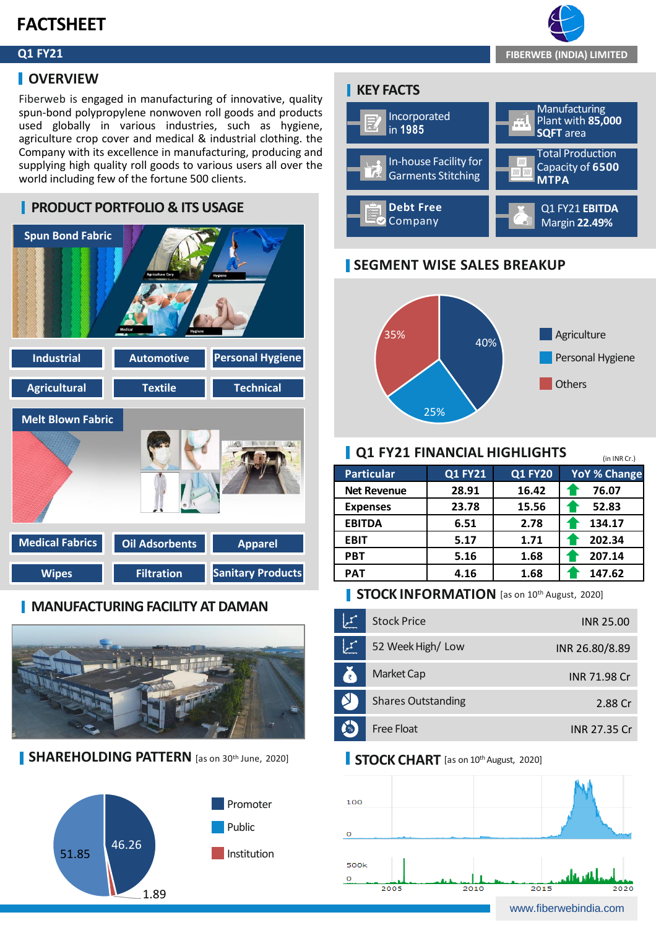# **FACTSHEET**

### **Q1 FY21**

### **I** OVERVIEW

Fiberweb is engaged in manufacturing of innovative, quality spun-bond polypropylene nonwoven roll goods and products used globally in various industries, such as hygiene, agriculture crop cover and medical & industrial clothing. the Company with its excellence in manufacturing, producing and supplying high quality roll goods to various users all over the world including few of the fortune 500 clients.



### **MANUFACTURING FACILITY AT DAMAN**



**SHAREHOLDING PATTERN** [as on 30<sup>th</sup> June, 2020]



### **KEY FACTS**



### **SEGMENT WISE SALES BREAKUP**



### **Q1 FY21 FINANCIAL HIGHLIGHTS**

| <u>L UI FIZI FINANCIAL MIGNLIGHI S</u><br>(in INR Cr.) |                |                |                     |  |  |  |
|--------------------------------------------------------|----------------|----------------|---------------------|--|--|--|
| <b>Particular</b>                                      | <b>Q1 FY21</b> | <b>Q1 FY20</b> | <b>YoY % Change</b> |  |  |  |
| <b>Net Revenue</b>                                     | 28.91          | 16.42          | 76.07               |  |  |  |
| <b>Expenses</b>                                        | 23.78          | 15.56          | 52.83               |  |  |  |
| <b>EBITDA</b>                                          | 6.51           | 2.78           | 134.17              |  |  |  |
| <b>EBIT</b>                                            | 5.17           | 1.71           | 202.34              |  |  |  |
| <b>PBT</b>                                             | 5.16           | 1.68           | 207.14              |  |  |  |
| <b>PAT</b>                                             | 4.16           | 1.68           | 147.62              |  |  |  |

### **STOCK INFORMATION** [as on 10th August, 2020]

|               | <b>Stock Price</b>        | INR 25.00           |
|---------------|---------------------------|---------------------|
|               | 52 Week High/Low          | INR 26.80/8.89      |
| Æ             | <b>Market Cap</b>         | <b>INR 71.98 Cr</b> |
|               | <b>Shares Outstanding</b> | 2.88 Cr             |
| $\frac{1}{2}$ | Free Float                | INR 27.35 Cr.       |

### **STOCK CHART** [as on 10<sup>th</sup> August, 2020]



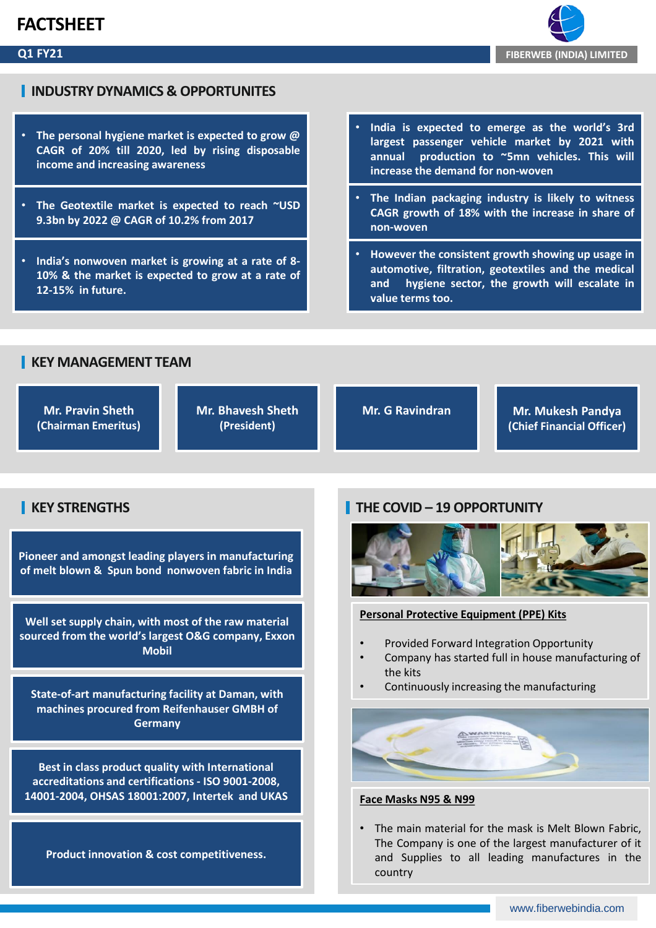## **FACTSHEET**

### **Q1 FY21**



### **INDUSTRY DYNAMICS & OPPORTUNITES**

- **The personal hygiene market is expected to grow @ CAGR of 20% till 2020, led by rising disposable income and increasing awareness**
- **The Geotextile market is expected to reach ~USD 9.3bn by 2022 @ CAGR of 10.2% from 2017**
- **India's nonwoven market is growing at a rate of 8- 10% & the market is expected to grow at a rate of 12-15% in future.**
- **India is expected to emerge as the world's 3rd largest passenger vehicle market by 2021 with annual production to ~5mn vehicles. This will increase the demand for non-woven**
- **The Indian packaging industry is likely to witness CAGR growth of 18% with the increase in share of non-woven**
- **However the consistent growth showing up usage in automotive, filtration, geotextiles and the medical and hygiene sector, the growth will escalate in value terms too.**

### **KEY MANAGEMENT TEAM**

**Mr. Pravin Sheth (Chairman Emeritus)**  **Mr. Bhavesh Sheth (President)**

**Mr. G Ravindran Mr. Mukesh Pandya (Chief Financial Officer)**

### **KEY STRENGTHS**

**Pioneer and amongst leading players in manufacturing of melt blown & Spun bond nonwoven fabric in India** 

**Well set supply chain, with most of the raw material sourced from the world's largest O&G company, Exxon Mobil**

**State-of-art manufacturing facility at Daman, with machines procured from Reifenhauser GMBH of Germany**

**Best in class product quality with International accreditations and certifications - ISO 9001-2008, 14001-2004, OHSAS 18001:2007, Intertek and UKAS**

**Product innovation & cost competitiveness.**

### **THE COVID – 19 OPPORTUNITY**



#### **Personal Protective Equipment (PPE) Kits**

- Provided Forward Integration Opportunity
- Company has started full in house manufacturing of the kits
- Continuously increasing the manufacturing



#### **Face Masks N95 & N99**

• The main material for the mask is Melt Blown Fabric, The Company is one of the largest manufacturer of it and Supplies to all leading manufactures in the country